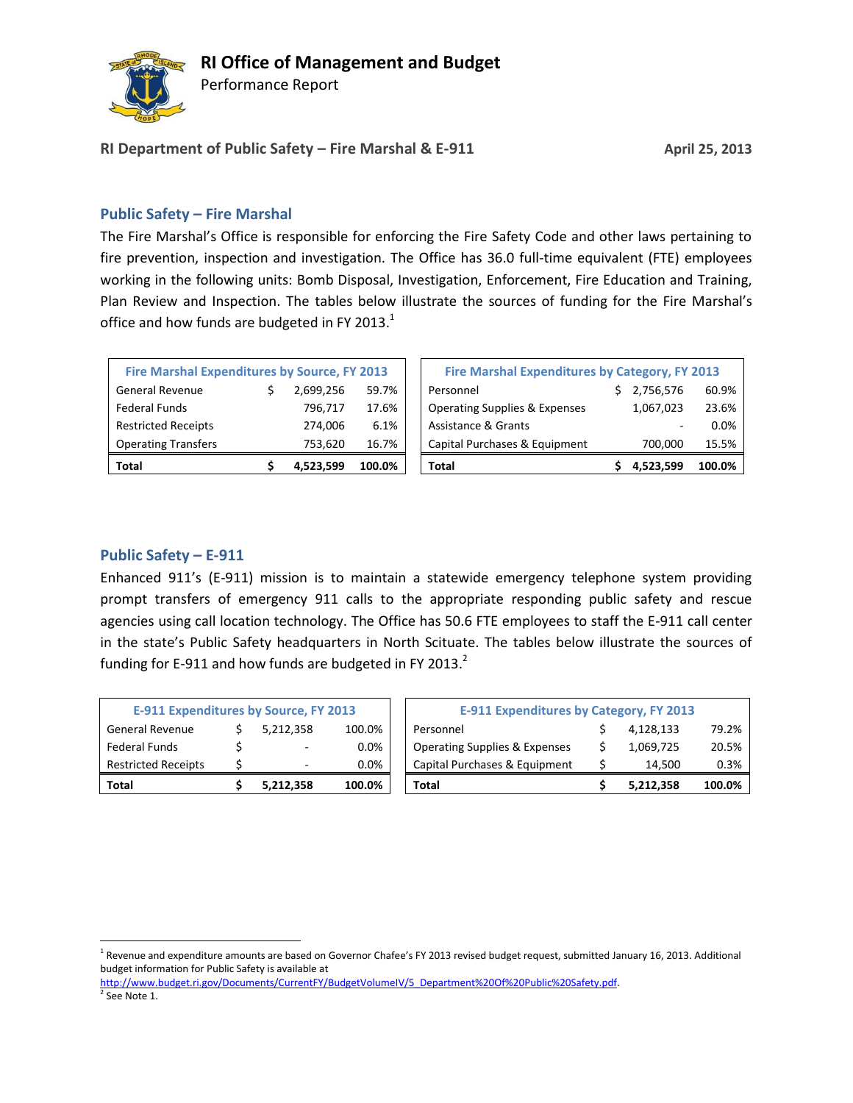

Performance Report

**RI Department of Public Safety – Fire Marshal & E-911 April 25, 2013**

### **Public Safety – Fire Marshal**

The Fire Marshal's Office is responsible for enforcing the Fire Safety Code and other laws pertaining to fire prevention, inspection and investigation. The Office has 36.0 full-time equivalent (FTE) employees working in the following units: Bomb Disposal, Investigation, Enforcement, Fire Education and Training, Plan Review and Inspection. The tables below illustrate the sources of funding for the Fire Marshal's office and how funds are budgeted in FY 2013. $1$ 

| <b>Fire Marshal Expenditures by Source, FY 2013</b> |   |           |        |  |  |  |  |
|-----------------------------------------------------|---|-----------|--------|--|--|--|--|
| <b>General Revenue</b>                              | S | 2,699,256 | 59.7%  |  |  |  |  |
| <b>Federal Funds</b>                                |   | 796,717   | 17.6%  |  |  |  |  |
| <b>Restricted Receipts</b>                          |   | 274,006   | 6.1%   |  |  |  |  |
| <b>Operating Transfers</b>                          |   | 753,620   | 16.7%  |  |  |  |  |
| Total                                               |   | 4,523,599 | 100.0% |  |  |  |  |

| Total                                        |  | 4.523.599 | 100.0%                                         | Total                                    |  | 4.523.599 | 100.0% |
|----------------------------------------------|--|-----------|------------------------------------------------|------------------------------------------|--|-----------|--------|
| <b>Operating Transfers</b>                   |  | 753.620   | 16.7%                                          | Capital Purchases & Equipment            |  | 700.000   | 15.5%  |
| <b>Restricted Receipts</b>                   |  | 274.006   | 6.1%                                           | <b>Assistance &amp; Grants</b>           |  |           | 0.0%   |
| Federal Funds                                |  | 796.717   | 17.6%                                          | <b>Operating Supplies &amp; Expenses</b> |  | 1,067,023 | 23.6%  |
| General Revenue                              |  | 2.699.256 | 59.7%                                          | Personnel                                |  | 2,756,576 | 60.9%  |
| Fire Marshal Expenditures by Source, FY 2013 |  |           | Fire Marshal Expenditures by Category, FY 2013 |                                          |  |           |        |

### **Public Safety – E-911**

l

Enhanced 911's (E-911) mission is to maintain a statewide emergency telephone system providing prompt transfers of emergency 911 calls to the appropriate responding public safety and rescue agencies using call location technology. The Office has 50.6 FTE employees to staff the E-911 call center in the state's Public Safety headquarters in North Scituate. The tables below illustrate the sources of funding for E-911 and how funds are budgeted in FY 2013. $^2$ 

| <b>E-911 Expenditures by Source, FY 2013</b> |   |           |         |  |  |  |
|----------------------------------------------|---|-----------|---------|--|--|--|
| <b>General Revenue</b>                       |   | 5,212,358 | 100.0%  |  |  |  |
| <b>Federal Funds</b>                         | Ś |           | 0.0%    |  |  |  |
| <b>Restricted Receipts</b>                   | Ś |           | $0.0\%$ |  |  |  |
| Total                                        |   | 5,212,358 | 100.0%  |  |  |  |

| E-911 Expenditures by Source, FY 2013 |  |           | <b>E-911 Expenditures by Category, FY 2013</b> |                                          |  |           |        |
|---------------------------------------|--|-----------|------------------------------------------------|------------------------------------------|--|-----------|--------|
| General Revenue                       |  | 5.212.358 | 100.0%                                         | Personnel                                |  | 4.128.133 | 79.2%  |
| Federal Funds                         |  |           | 0.0%                                           | <b>Operating Supplies &amp; Expenses</b> |  | 1,069,725 | 20.5%  |
| <b>Restricted Receipts</b>            |  |           | 0.0%                                           | Capital Purchases & Equipment            |  | 14.500    | 0.3%   |
| Total                                 |  | 5,212,358 | 100.0%                                         | Total                                    |  | 5.212.358 | 100.0% |

[http://www.budget.ri.gov/Documents/CurrentFY/BudgetVolumeIV/5\\_Department%20Of%20Public%20Safety.pdf.](http://www.budget.ri.gov/Documents/CurrentFY/BudgetVolumeIV/5_Department%20Of%20Public%20Safety.pdf) <sup>2</sup> See Note 1.

<sup>&</sup>lt;sup>1</sup> Revenue and expenditure amounts are based on Governor Chafee's FY 2013 revised budget request, submitted January 16, 2013. Additional budget information for Public Safety is available at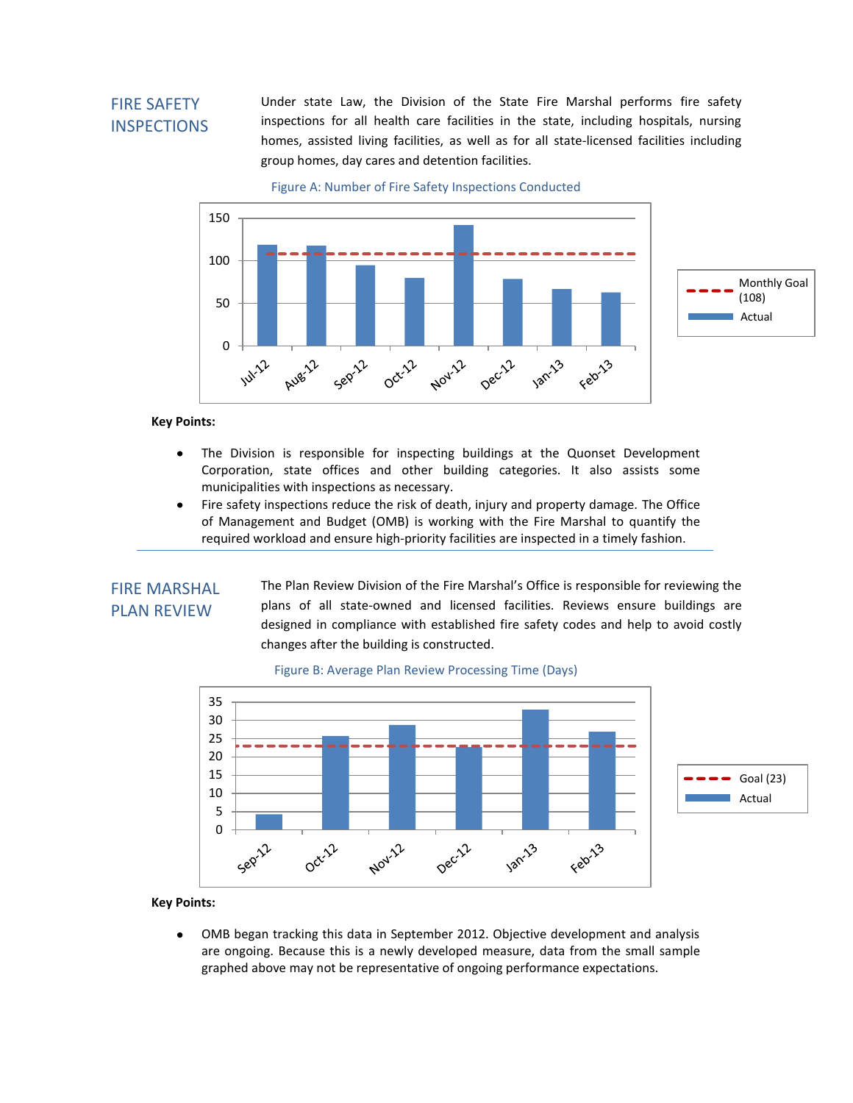## FIRE SAFETY INSPECTIONS

Under state Law, the Division of the State Fire Marshal performs fire safety inspections for all health care facilities in the state, including hospitals, nursing homes, assisted living facilities, as well as for all state-licensed facilities including group homes, day cares and detention facilities.

Figure A: Number of Fire Safety Inspections Conducted



**Key Points:**

- The Division is responsible for inspecting buildings at the Quonset Development  $\bullet$ Corporation, state offices and other building categories. It also assists some municipalities with inspections as necessary.
- $\bullet$ Fire safety inspections reduce the risk of death, injury and property damage. The Office of Management and Budget (OMB) is working with the Fire Marshal to quantify the required workload and ensure high-priority facilities are inspected in a timely fashion.

### FIRE MARSHAL PLAN REVIEW

The Plan Review Division of the Fire Marshal's Office is responsible for reviewing the plans of all state-owned and licensed facilities. Reviews ensure buildings are designed in compliance with established fire safety codes and help to avoid costly changes after the building is constructed.



#### Figure B: Average Plan Review Processing Time (Days)

### **Key Points:**

OMB began tracking this data in September 2012. Objective development and analysis  $\bullet$ are ongoing. Because this is a newly developed measure, data from the small sample graphed above may not be representative of ongoing performance expectations.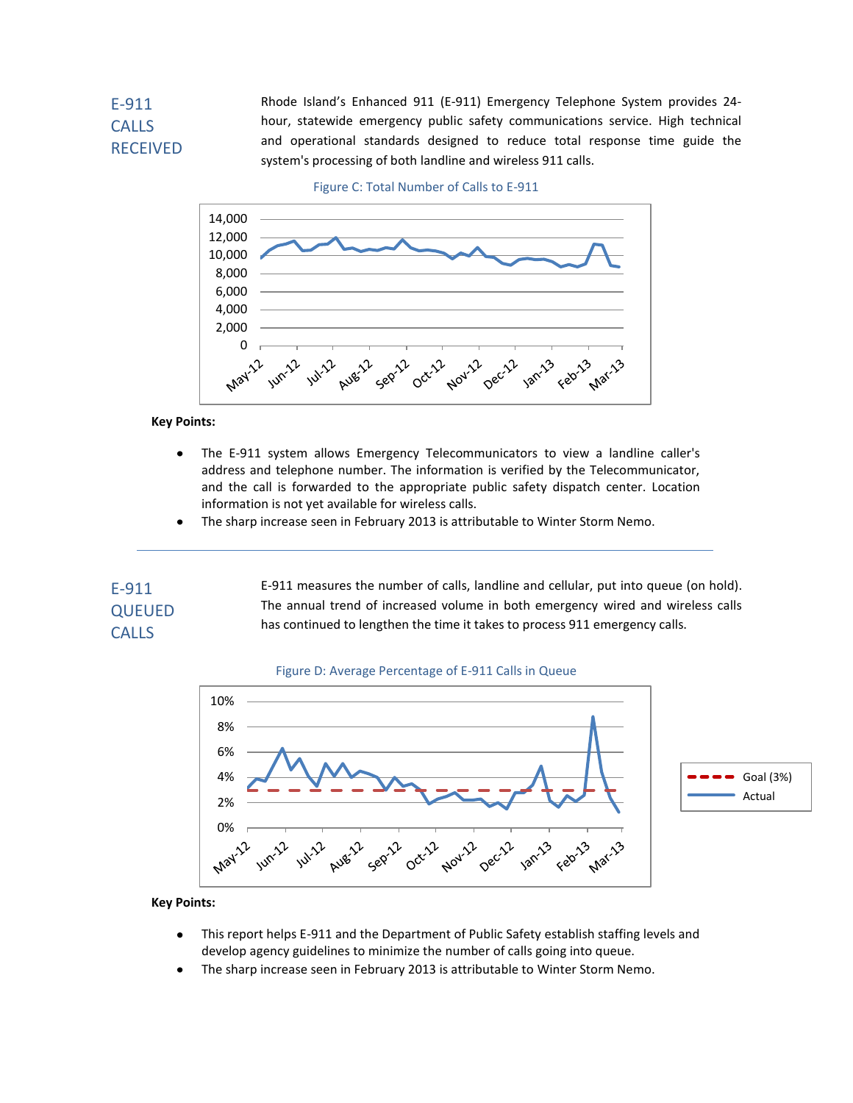# E-911 CALLS RECEIVED

Rhode Island's Enhanced 911 (E-911) Emergency Telephone System provides 24 hour, statewide emergency public safety communications service. High technical and operational standards designed to reduce total response time guide the system's processing of both landline and wireless 911 calls.





**Key Points:**

- The E-911 system allows Emergency Telecommunicators to view a landline caller's  $\bullet$ address and telephone number. The information is verified by the Telecommunicator, and the call is forwarded to the appropriate public safety dispatch center. Location information is not yet available for wireless calls.
- The sharp increase seen in February 2013 is attributable to Winter Storm Nemo.

## E-911 QUEUED **CALLS**

E-911 measures the number of calls, landline and cellular, put into queue (on hold). The annual trend of increased volume in both emergency wired and wireless calls has continued to lengthen the time it takes to process 911 emergency calls.





### **Key Points:**

- This report helps E-911 and the Department of Public Safety establish staffing levels and  $\bullet$ develop agency guidelines to minimize the number of calls going into queue.
- The sharp increase seen in February 2013 is attributable to Winter Storm Nemo.  $\bullet$